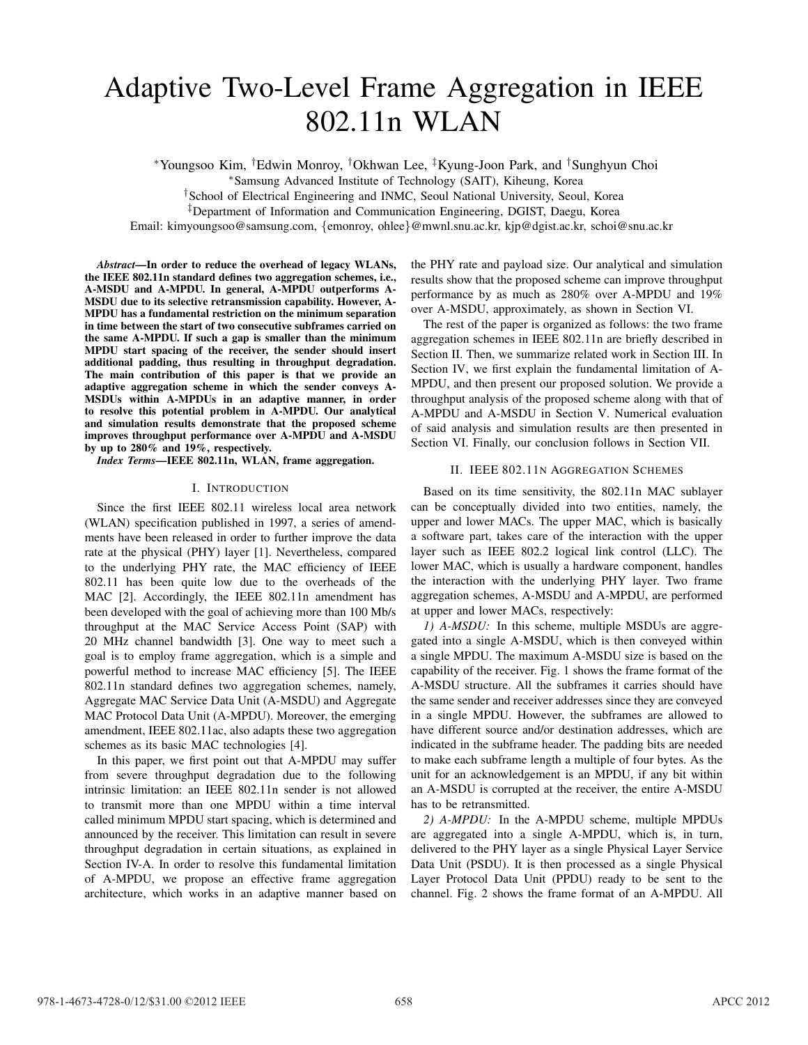# Adaptive Two-Level Frame Aggregation in IEEE 802.11n WLAN

*∗*Youngsoo Kim, *†*Edwin Monroy, *†*Okhwan Lee, *‡*Kyung-Joon Park, and *†*Sunghyun Choi

*∗*Samsung Advanced Institute of Technology (SAIT), Kiheung, Korea

*†*School of Electrical Engineering and INMC, Seoul National University, Seoul, Korea

*‡*Department of Information and Communication Engineering, DGIST, Daegu, Korea

Email: kimyoungsoo@samsung.com, *{*emonroy, ohlee*}*@mwnl.snu.ac.kr, kjp@dgist.ac.kr, schoi@snu.ac.kr

*Abstract*—In order to reduce the overhead of legacy WLANs, the IEEE 802.11n standard defines two aggregation schemes, i.e., A-MSDU and A-MPDU. In general, A-MPDU outperforms A-MSDU due to its selective retransmission capability. However, A-MPDU has a fundamental restriction on the minimum separation in time between the start of two consecutive subframes carried on the same A-MPDU. If such a gap is smaller than the minimum MPDU start spacing of the receiver, the sender should insert additional padding, thus resulting in throughput degradation. The main contribution of this paper is that we provide an adaptive aggregation scheme in which the sender conveys A-MSDUs within A-MPDUs in an adaptive manner, in order to resolve this potential problem in A-MPDU. Our analytical and simulation results demonstrate that the proposed scheme improves throughput performance over A-MPDU and A-MSDU by up to 280% and 19%, respectively.

*Index Terms*—IEEE 802.11n, WLAN, frame aggregation.

# I. INTRODUCTION

Since the first IEEE 802.11 wireless local area network (WLAN) specification published in 1997, a series of amendments have been released in order to further improve the data rate at the physical (PHY) layer [1]. Nevertheless, compared to the underlying PHY rate, the MAC efficiency of IEEE 802.11 has been quite low due to the overheads of the MAC [2]. Accordingly, the IEEE 802.11n amendment has been developed with the goal of achieving more than 100 Mb/s throughput at the MAC Service Access Point (SAP) with 20 MHz channel bandwidth [3]. One way to meet such a goal is to employ frame aggregation, which is a simple and powerful method to increase MAC efficiency [5]. The IEEE 802.11n standard defines two aggregation schemes, namely, Aggregate MAC Service Data Unit (A-MSDU) and Aggregate MAC Protocol Data Unit (A-MPDU). Moreover, the emerging amendment, IEEE 802.11ac, also adapts these two aggregation schemes as its basic MAC technologies [4].

In this paper, we first point out that A-MPDU may suffer from severe throughput degradation due to the following intrinsic limitation: an IEEE 802.11n sender is not allowed to transmit more than one MPDU within a time interval called minimum MPDU start spacing, which is determined and announced by the receiver. This limitation can result in severe throughput degradation in certain situations, as explained in Section IV-A. In order to resolve this fundamental limitation of A-MPDU, we propose an effective frame aggregation architecture, which works in an adaptive manner based on

the PHY rate and payload size. Our analytical and simulation results show that the proposed scheme can improve throughput performance by as much as 280% over A-MPDU and 19% over A-MSDU, approximately, as shown in Section VI.

The rest of the paper is organized as follows: the two frame aggregation schemes in IEEE 802.11n are briefly described in Section II. Then, we summarize related work in Section III. In Section IV, we first explain the fundamental limitation of A-MPDU, and then present our proposed solution. We provide a throughput analysis of the proposed scheme along with that of A-MPDU and A-MSDU in Section V. Numerical evaluation of said analysis and simulation results are then presented in Section VI. Finally, our conclusion follows in Section VII.

# II. IEEE 802.11N AGGREGATION SCHEMES

Based on its time sensitivity, the 802.11n MAC sublayer can be conceptually divided into two entities, namely, the upper and lower MACs. The upper MAC, which is basically a software part, takes care of the interaction with the upper layer such as IEEE 802.2 logical link control (LLC). The lower MAC, which is usually a hardware component, handles the interaction with the underlying PHY layer. Two frame aggregation schemes, A-MSDU and A-MPDU, are performed at upper and lower MACs, respectively:

*1) A-MSDU:* In this scheme, multiple MSDUs are aggregated into a single A-MSDU, which is then conveyed within a single MPDU. The maximum A-MSDU size is based on the capability of the receiver. Fig. 1 shows the frame format of the A-MSDU structure. All the subframes it carries should have the same sender and receiver addresses since they are conveyed in a single MPDU. However, the subframes are allowed to have different source and/or destination addresses, which are indicated in the subframe header. The padding bits are needed to make each subframe length a multiple of four bytes. As the unit for an acknowledgement is an MPDU, if any bit within an A-MSDU is corrupted at the receiver, the entire A-MSDU has to be retransmitted.

*2) A-MPDU:* In the A-MPDU scheme, multiple MPDUs are aggregated into a single A-MPDU, which is, in turn, delivered to the PHY layer as a single Physical Layer Service Data Unit (PSDU). It is then processed as a single Physical Layer Protocol Data Unit (PPDU) ready to be sent to the channel. Fig. 2 shows the frame format of an A-MPDU. All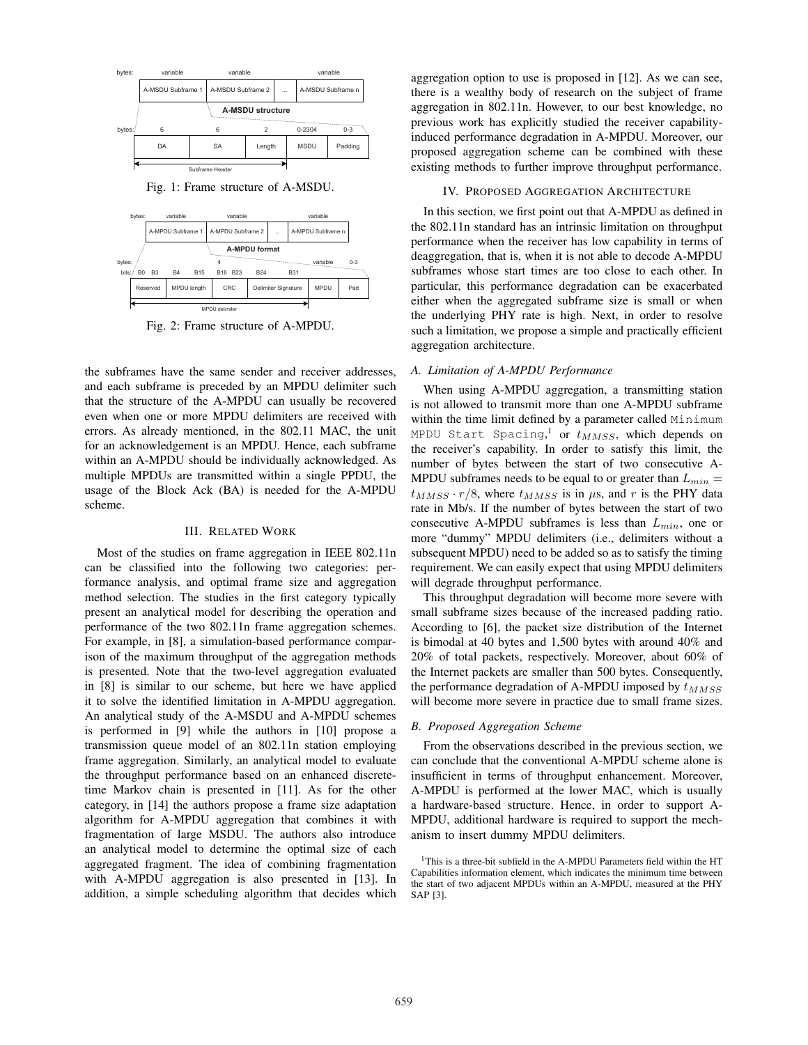

Fig. 1: Frame structure of A-MSDU.



Fig. 2: Frame structure of A-MPDU.

the subframes have the same sender and receiver addresses, and each subframe is preceded by an MPDU delimiter such that the structure of the A-MPDU can usually be recovered even when one or more MPDU delimiters are received with errors. As already mentioned, in the 802.11 MAC, the unit for an acknowledgement is an MPDU. Hence, each subframe within an A-MPDU should be individually acknowledged. As multiple MPDUs are transmitted within a single PPDU, the usage of the Block Ack (BA) is needed for the A-MPDU scheme.

## III. RELATED WORK

Most of the studies on frame aggregation in IEEE 802.11n can be classified into the following two categories: performance analysis, and optimal frame size and aggregation method selection. The studies in the first category typically present an analytical model for describing the operation and performance of the two 802.11n frame aggregation schemes. For example, in [8], a simulation-based performance comparison of the maximum throughput of the aggregation methods is presented. Note that the two-level aggregation evaluated in [8] is similar to our scheme, but here we have applied it to solve the identified limitation in A-MPDU aggregation. An analytical study of the A-MSDU and A-MPDU schemes is performed in [9] while the authors in [10] propose a transmission queue model of an 802.11n station employing frame aggregation. Similarly, an analytical model to evaluate the throughput performance based on an enhanced discretetime Markov chain is presented in [11]. As for the other category, in [14] the authors propose a frame size adaptation algorithm for A-MPDU aggregation that combines it with fragmentation of large MSDU. The authors also introduce an analytical model to determine the optimal size of each aggregated fragment. The idea of combining fragmentation with A-MPDU aggregation is also presented in [13]. In addition, a simple scheduling algorithm that decides which

aggregation option to use is proposed in [12]. As we can see, there is a wealthy body of research on the subject of frame aggregation in 802.11n. However, to our best knowledge, no previous work has explicitly studied the receiver capabilityinduced performance degradation in A-MPDU. Moreover, our proposed aggregation scheme can be combined with these existing methods to further improve throughput performance.

#### IV. PROPOSED AGGREGATION ARCHITECTURE

In this section, we first point out that A-MPDU as defined in the 802.11n standard has an intrinsic limitation on throughput performance when the receiver has low capability in terms of deaggregation, that is, when it is not able to decode A-MPDU subframes whose start times are too close to each other. In particular, this performance degradation can be exacerbated either when the aggregated subframe size is small or when the underlying PHY rate is high. Next, in order to resolve such a limitation, we propose a simple and practically efficient aggregation architecture.

# *A. Limitation of A-MPDU Performance*

When using A-MPDU aggregation, a transmitting station is not allowed to transmit more than one A-MPDU subframe within the time limit defined by a parameter called Minimum MPDU Start Spacing, <sup>1</sup> or *tMMSS*, which depends on the receiver's capability. In order to satisfy this limit, the number of bytes between the start of two consecutive A-MPDU subframes needs to be equal to or greater than  $L_{min} =$  $t_{MMSS} \cdot r/8$ , where  $t_{MMSS}$  is in  $\mu$ s, and  $r$  is the PHY data rate in Mb/s. If the number of bytes between the start of two consecutive A-MPDU subframes is less than *Lmin*, one or more "dummy" MPDU delimiters (i.e., delimiters without a subsequent MPDU) need to be added so as to satisfy the timing requirement. We can easily expect that using MPDU delimiters will degrade throughput performance.

This throughput degradation will become more severe with small subframe sizes because of the increased padding ratio. According to [6], the packet size distribution of the Internet is bimodal at 40 bytes and 1,500 bytes with around 40% and 20% of total packets, respectively. Moreover, about 60% of the Internet packets are smaller than 500 bytes. Consequently, the performance degradation of A-MPDU imposed by  $t_{MMSS}$ will become more severe in practice due to small frame sizes.

## *B. Proposed Aggregation Scheme*

From the observations described in the previous section, we can conclude that the conventional A-MPDU scheme alone is insufficient in terms of throughput enhancement. Moreover, A-MPDU is performed at the lower MAC, which is usually a hardware-based structure. Hence, in order to support A-MPDU, additional hardware is required to support the mechanism to insert dummy MPDU delimiters.

<sup>&</sup>lt;sup>1</sup>This is a three-bit subfield in the A-MPDU Parameters field within the HT Capabilities information element, which indicates the minimum time between the start of two adjacent MPDUs within an A-MPDU, measured at the PHY SAP [3].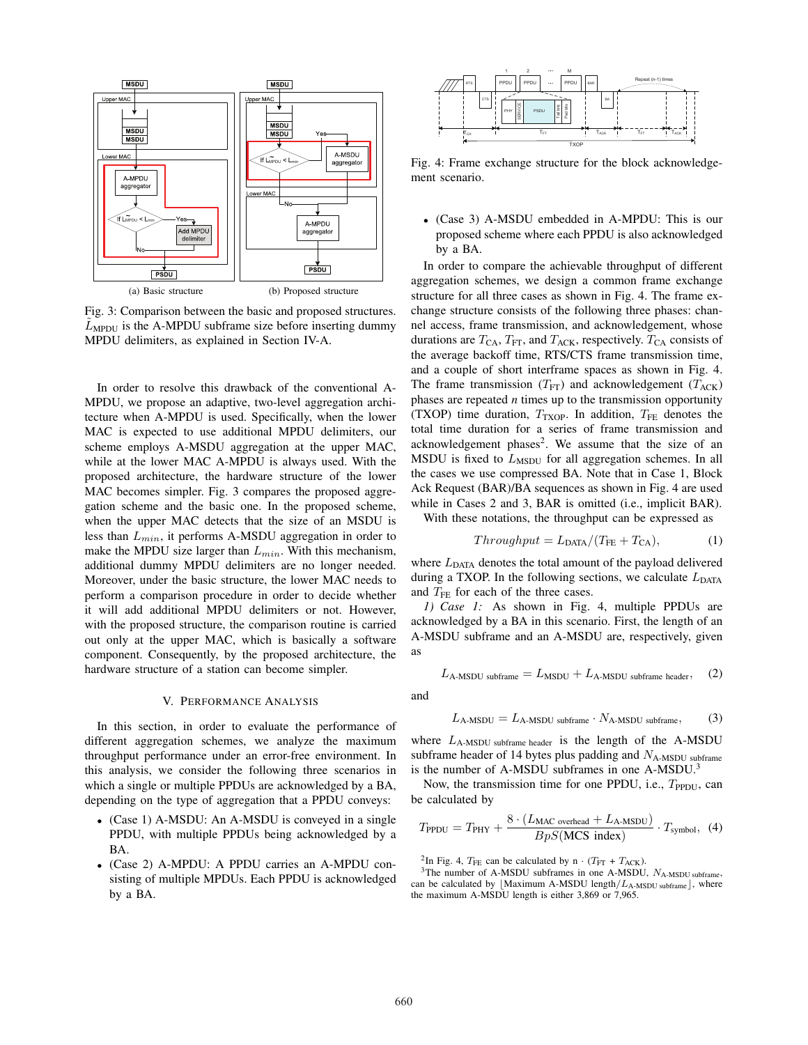

Fig. 3: Comparison between the basic and proposed structures.  $L_{\text{MPDU}}$  is the A-MPDU subframe size before inserting dummy MPDU delimiters, as explained in Section IV-A.

In order to resolve this drawback of the conventional A-MPDU, we propose an adaptive, two-level aggregation architecture when A-MPDU is used. Specifically, when the lower MAC is expected to use additional MPDU delimiters, our scheme employs A-MSDU aggregation at the upper MAC, while at the lower MAC A-MPDU is always used. With the proposed architecture, the hardware structure of the lower MAC becomes simpler. Fig. 3 compares the proposed aggregation scheme and the basic one. In the proposed scheme, when the upper MAC detects that the size of an MSDU is less than *Lmin*, it performs A-MSDU aggregation in order to make the MPDU size larger than *Lmin*. With this mechanism, additional dummy MPDU delimiters are no longer needed. Moreover, under the basic structure, the lower MAC needs to perform a comparison procedure in order to decide whether it will add additional MPDU delimiters or not. However, with the proposed structure, the comparison routine is carried out only at the upper MAC, which is basically a software component. Consequently, by the proposed architecture, the hardware structure of a station can become simpler.

#### V. PERFORMANCE ANALYSIS

In this section, in order to evaluate the performance of different aggregation schemes, we analyze the maximum throughput performance under an error-free environment. In this analysis, we consider the following three scenarios in which a single or multiple PPDUs are acknowledged by a BA, depending on the type of aggregation that a PPDU conveys:

- *•* (Case 1) A-MSDU: An A-MSDU is conveyed in a single PPDU, with multiple PPDUs being acknowledged by a BA.
- *•* (Case 2) A-MPDU: A PPDU carries an A-MPDU consisting of multiple MPDUs. Each PPDU is acknowledged by a BA.



Fig. 4: Frame exchange structure for the block acknowledgement scenario.

*•* (Case 3) A-MSDU embedded in A-MPDU: This is our proposed scheme where each PPDU is also acknowledged by a BA.

In order to compare the achievable throughput of different aggregation schemes, we design a common frame exchange structure for all three cases as shown in Fig. 4. The frame exchange structure consists of the following three phases: channel access, frame transmission, and acknowledgement, whose durations are  $T_{CA}$ ,  $T_{FT}$ , and  $T_{ACK}$ , respectively.  $T_{CA}$  consists of the average backoff time, RTS/CTS frame transmission time, and a couple of short interframe spaces as shown in Fig. 4. The frame transmission  $(T_{\text{FT}})$  and acknowledgement  $(T_{\text{ACK}})$ phases are repeated *n* times up to the transmission opportunity (TXOP) time duration,  $T_{\text{TXOP}}$ . In addition,  $T_{\text{FE}}$  denotes the total time duration for a series of frame transmission and acknowledgement phases<sup>2</sup>. We assume that the size of an MSDU is fixed to  $L_{\text{MSDU}}$  for all aggregation schemes. In all the cases we use compressed BA. Note that in Case 1, Block Ack Request (BAR)/BA sequences as shown in Fig. 4 are used while in Cases 2 and 3, BAR is omitted (i.e., implicit BAR).

With these notations, the throughput can be expressed as

$$
Throughout = L_{\text{DATA}} / (T_{\text{FE}} + T_{\text{CA}}), \tag{1}
$$

where  $L_{\text{DATA}}$  denotes the total amount of the payload delivered during a TXOP. In the following sections, we calculate  $L_{\text{DATA}}$ and  $T_{\text{FE}}$  for each of the three cases.

*1) Case 1:* As shown in Fig. 4, multiple PPDUs are acknowledged by a BA in this scenario. First, the length of an A-MSDU subframe and an A-MSDU are, respectively, given as

$$
L_{A\text{-MSDU subframe}} = L_{\text{MSDU}} + L_{A\text{-MSDU subframe header}}, \quad (2)
$$

and

$$
L_{\text{A-MSDU}} = L_{\text{A-MSDU subframe}} \cdot N_{\text{A-MSDU subframe}}, \tag{3}
$$

where *L*A-MSDU subframe header is the length of the A-MSDU subframe header of 14 bytes plus padding and *N*<sub>A-MSDU</sub> subframe is the number of A-MSDU subframes in one A-MSDU.<sup>3</sup>

Now, the transmission time for one PPDU, i.e., *T*<sub>PPDU</sub>, can be calculated by

$$
T_{\rm PPDU} = T_{\rm PHY} + \frac{8 \cdot (L_{\rm MAC\ overhead} + L_{\rm A\text{-MSDU}})}{BpS(\rm MCS\ index)} \cdot T_{\rm symbol}, \tag{4}
$$

<sup>2</sup>In Fig. 4,  $T_{\text{FE}}$  can be calculated by n  $\cdot$  ( $T_{\text{FT}} + T_{\text{ACK}}$ ).<br><sup>3</sup>The number of A-MSDU subframes in one A-MSDU,  $N_{\text{A-MSDU subframe}}$ can be calculated by *[Maximum A-MSDU length/L<sub>A-MSDU subframe</sub>]*, where the maximum A-MSDU length is either 3,869 or 7,965.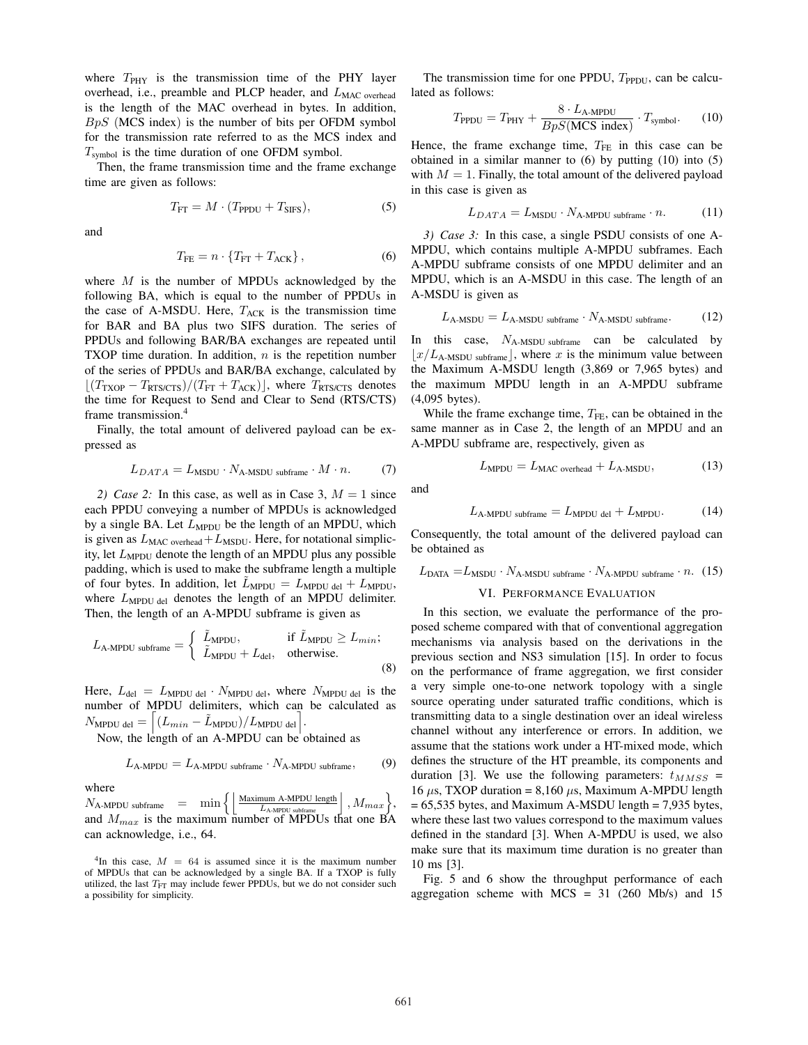where  $T_{\text{PHY}}$  is the transmission time of the PHY layer overhead, i.e., preamble and PLCP header, and *L*<sub>MAC overhead</sub> is the length of the MAC overhead in bytes. In addition, *BpS* (MCS index) is the number of bits per OFDM symbol for the transmission rate referred to as the MCS index and *T*symbol is the time duration of one OFDM symbol.

Then, the frame transmission time and the frame exchange time are given as follows:

$$
T_{\rm FT} = M \cdot (T_{\rm PPDU} + T_{\rm SIFS}),\tag{5}
$$

and

$$
T_{\rm FE} = n \cdot \{T_{\rm FT} + T_{\rm ACK}\},\tag{6}
$$

where *M* is the number of MPDUs acknowledged by the following BA, which is equal to the number of PPDUs in the case of A-MSDU. Here,  $T_{ACK}$  is the transmission time for BAR and BA plus two SIFS duration. The series of PPDUs and following BAR/BA exchanges are repeated until TXOP time duration. In addition, *n* is the repetition number of the series of PPDUs and BAR/BA exchange, calculated by *⌊*(*T*TXOP *− T*RTS/CTS)*/*(*T*FT + *T*ACK)*⌋*, where *T*RTS/CTS denotes the time for Request to Send and Clear to Send (RTS/CTS) frame transmission.4

Finally, the total amount of delivered payload can be expressed as

$$
L_{DATA} = L_{MSDU} \cdot N_{A\text{-MSDU subframe}} \cdot M \cdot n. \tag{7}
$$

*2) Case 2:* In this case, as well as in Case 3,  $M = 1$  since each PPDU conveying a number of MPDUs is acknowledged by a single BA. Let  $L_{\text{MPDU}}$  be the length of an MPDU, which is given as  $L_{\text{MAC overhead}} + L_{\text{MSDU}}$ . Here, for notational simplicity, let *L*<sub>MPDU</sub> denote the length of an MPDU plus any possible padding, which is used to make the subframe length a multiple of four bytes. In addition, let  $L_{\text{MPDU}} = L_{\text{MPDU}} + L_{\text{MPDU}}$ , where  $L_{\text{MPDU del}}$  denotes the length of an MPDU delimiter. Then, the length of an A-MPDU subframe is given as

$$
L_{\text{A-MPDU subframe}} = \begin{cases} \tilde{L}_{\text{MPDU}}, & \text{if } \tilde{L}_{\text{MPDU}} \ge L_{min}; \\ \tilde{L}_{\text{MPDU}} + L_{\text{del}}, & \text{otherwise.} \end{cases}
$$
(8)

Here,  $L_{\text{del}} = L_{\text{MPDU del}} \cdot N_{\text{MPDU del}}$ , where  $N_{\text{MPDU del}}$  is the number of MPDU delimiters, which can be calculated as  $N_{\text{MPDU del}} = \left[ (L_{min} - \tilde{L}_{\text{MPDU}})/L_{\text{MPDU del}} \right].$ 

Now, the length of an A-MPDU can be obtained as

$$
L_{\text{A-MPDU}} = L_{\text{A-MPDU subframe}} \cdot N_{\text{A-MPDU subframe}}, \tag{9}
$$

where

 $N_{\text{A-MPDU subframe}}$  =  $\min \left\{ \left| \frac{\text{Maximum A-MPDU length}}{L_{\text{A-MPDU subframe}}}\right|, M_{max} \right\},$ and  $M_{max}$  is the maximum number of MPDUs that one BA can acknowledge, i.e., 64.

<sup>4</sup>In this case,  $M = 64$  is assumed since it is the maximum number of MPDUs that can be acknowledged by a single BA. If a TXOP is fully utilized, the last *T*<sub>FT</sub> may include fewer PPDUs, but we do not consider such a possibility for simplicity.

The transmission time for one PPDU, *T*<sub>PPDU</sub>, can be calculated as follows:

$$
T_{\rm PPDU} = T_{\rm PHY} + \frac{8 \cdot L_{\rm A-MPDU}}{BpS(\rm{MCS}\ index)} \cdot T_{\rm{symbol}}.
$$
 (10)

Hence, the frame exchange time,  $T_{FE}$  in this case can be obtained in a similar manner to (6) by putting (10) into (5) with  $M = 1$ . Finally, the total amount of the delivered payload in this case is given as

$$
L_{DATA} = L_{\text{MSDU}} \cdot N_{\text{A-MPDU subframe}} \cdot n. \tag{11}
$$

*3) Case 3:* In this case, a single PSDU consists of one A-MPDU, which contains multiple A-MPDU subframes. Each A-MPDU subframe consists of one MPDU delimiter and an MPDU, which is an A-MSDU in this case. The length of an A-MSDU is given as

$$
L_{\text{A-MSDU}} = L_{\text{A-MSDU subframe}} \cdot N_{\text{A-MSDU subframe}}.\tag{12}
$$

In this case, *N*A-MSDU subframe can be calculated by  $\lfloor x/L_{\text{A-MSDU subframe}} \rfloor$ , where *x* is the minimum value between the Maximum A-MSDU length (3,869 or 7,965 bytes) and the maximum MPDU length in an A-MPDU subframe (4,095 bytes).

While the frame exchange time,  $T_{FE}$ , can be obtained in the same manner as in Case 2, the length of an MPDU and an A-MPDU subframe are, respectively, given as

$$
L_{\text{MPDU}} = L_{\text{MAC overhead}} + L_{\text{A-MSDU}},\tag{13}
$$

and

$$
L_{\text{A-MPDU subframe}} = L_{\text{MPDU del}} + L_{\text{MPDU}}.\tag{14}
$$

Consequently, the total amount of the delivered payload can be obtained as

$$
LDATA = LMSDU · NA-MSDU subframe · NA-MPDU subframe · n. (15)
$$

#### VI. PERFORMANCE EVALUATION

In this section, we evaluate the performance of the proposed scheme compared with that of conventional aggregation mechanisms via analysis based on the derivations in the previous section and NS3 simulation [15]. In order to focus on the performance of frame aggregation, we first consider a very simple one-to-one network topology with a single source operating under saturated traffic conditions, which is transmitting data to a single destination over an ideal wireless channel without any interference or errors. In addition, we assume that the stations work under a HT-mixed mode, which defines the structure of the HT preamble, its components and duration [3]. We use the following parameters:  $t_{MMSS}$  = 16  $\mu$ s, TXOP duration = 8,160  $\mu$ s, Maximum A-MPDU length = 65,535 bytes, and Maximum A-MSDU length = 7,935 bytes, where these last two values correspond to the maximum values defined in the standard [3]. When A-MPDU is used, we also make sure that its maximum time duration is no greater than 10 ms [3].

Fig. 5 and 6 show the throughput performance of each aggregation scheme with  $MCS = 31$  (260 Mb/s) and 15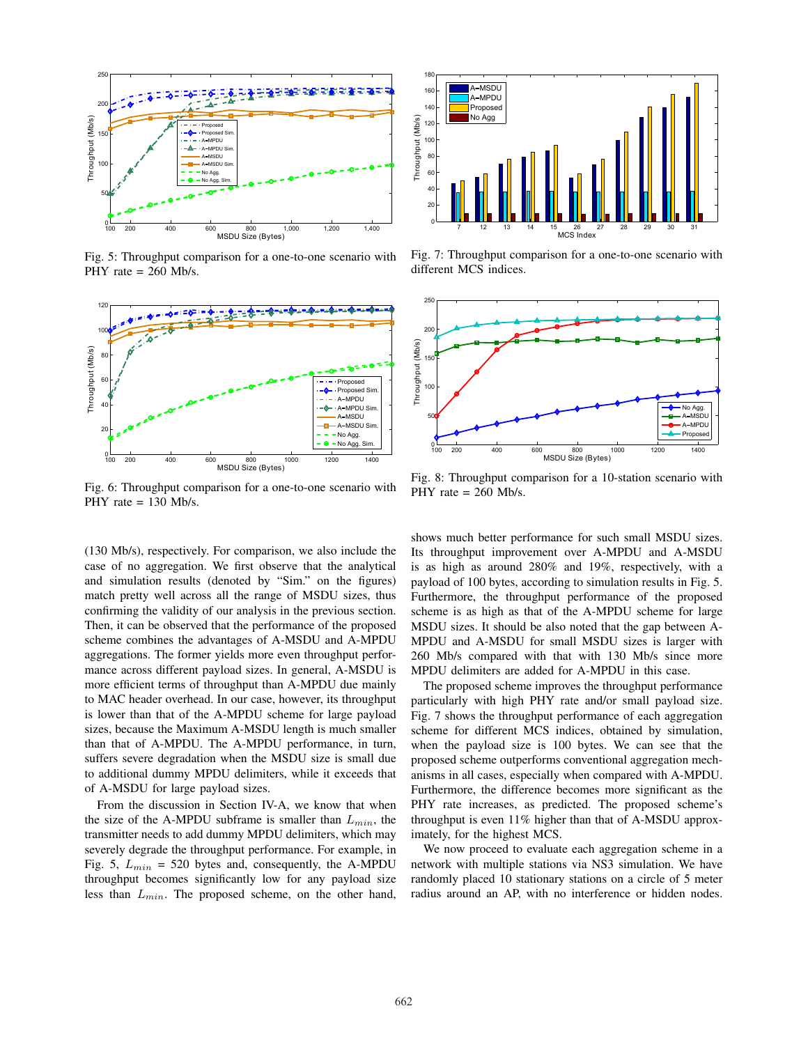

Fig. 5: Throughput comparison for a one-to-one scenario with PHY rate  $= 260$  Mb/s.



Fig. 6: Throughput comparison for a one-to-one scenario with PHY rate = 130 Mb/s.

(130 Mb/s), respectively. For comparison, we also include the case of no aggregation. We first observe that the analytical and simulation results (denoted by "Sim." on the figures) match pretty well across all the range of MSDU sizes, thus confirming the validity of our analysis in the previous section. Then, it can be observed that the performance of the proposed scheme combines the advantages of A-MSDU and A-MPDU aggregations. The former yields more even throughput performance across different payload sizes. In general, A-MSDU is more efficient terms of throughput than A-MPDU due mainly to MAC header overhead. In our case, however, its throughput is lower than that of the A-MPDU scheme for large payload sizes, because the Maximum A-MSDU length is much smaller than that of A-MPDU. The A-MPDU performance, in turn, suffers severe degradation when the MSDU size is small due to additional dummy MPDU delimiters, while it exceeds that of A-MSDU for large payload sizes.

From the discussion in Section IV-A, we know that when the size of the A-MPDU subframe is smaller than *Lmin*, the transmitter needs to add dummy MPDU delimiters, which may severely degrade the throughput performance. For example, in Fig. 5, *Lmin* = 520 bytes and, consequently, the A-MPDU throughput becomes significantly low for any payload size less than *Lmin*. The proposed scheme, on the other hand,



Fig. 7: Throughput comparison for a one-to-one scenario with different MCS indices.



Fig. 8: Throughput comparison for a 10-station scenario with PHY rate = 260 Mb/s.

shows much better performance for such small MSDU sizes. Its throughput improvement over A-MPDU and A-MSDU is as high as around 280% and 19%, respectively, with a payload of 100 bytes, according to simulation results in Fig. 5. Furthermore, the throughput performance of the proposed scheme is as high as that of the A-MPDU scheme for large MSDU sizes. It should be also noted that the gap between A-MPDU and A-MSDU for small MSDU sizes is larger with 260 Mb/s compared with that with 130 Mb/s since more MPDU delimiters are added for A-MPDU in this case.

The proposed scheme improves the throughput performance particularly with high PHY rate and/or small payload size. Fig. 7 shows the throughput performance of each aggregation scheme for different MCS indices, obtained by simulation, when the payload size is 100 bytes. We can see that the proposed scheme outperforms conventional aggregation mechanisms in all cases, especially when compared with A-MPDU. Furthermore, the difference becomes more significant as the PHY rate increases, as predicted. The proposed scheme's throughput is even 11% higher than that of A-MSDU approximately, for the highest MCS.

We now proceed to evaluate each aggregation scheme in a network with multiple stations via NS3 simulation. We have randomly placed 10 stationary stations on a circle of 5 meter radius around an AP, with no interference or hidden nodes.